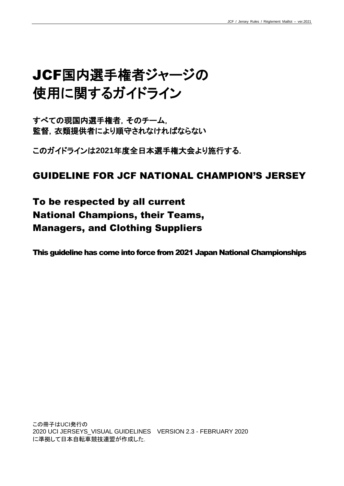# JCF国内選手権者ジャージの 使用に関するガイドライン

すべての現国内選手権者,そのチーム, 監督,衣類提供者により順守されなければならない

このガイドラインは**2021**年度全日本選手権大会より施行する.

## GUIDELINE FOR JCF NATIONAL CHAMPION'S JERSEY

To be respected by all current National Champions, their Teams, Managers, and Clothing Suppliers

This guideline has come into force from 2021 Japan National Championships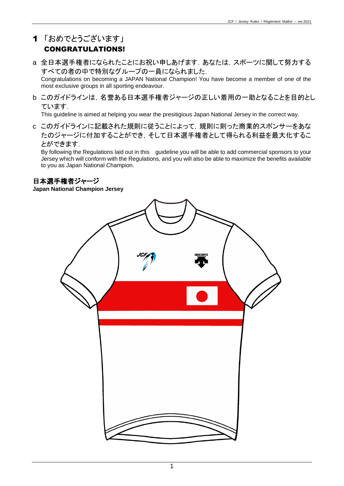## 1 「おめでとうございます」

## CONGRATULATIONS!

a 全日本選手権者になられたことにお祝い申しあげます.あなたは,スポーツに関して努力する すべての者の中で特別なグループの一員になられました.

Congratulations on becoming a JAPAN National Champion! You have become a member of one of the most exclusive groups in all sporting endeavour.

b このガイドラインは,名誉ある日本選手権者ジャージの正しい着用の一助となることを目的とし ています.

This guideline is aimed at helping you wear the presitigious Japan National Jersey in the correct way.

c このガイドラインに記載された規則に従うことによって,規則に則った商業的スポンサーをあな たのジャージに付加することができ,そして日本選手権者として得られる利益を最大化するこ とができます.

By following the Regulations laid out in this guideline you will be able to add commercial sponsors to your Jersey which will conform with the Regulations, and you will also be able to maximize the benefits available to you as Japan National Champion.

#### 日本選手権者ジャージ

**Japan National Champion Jersey**

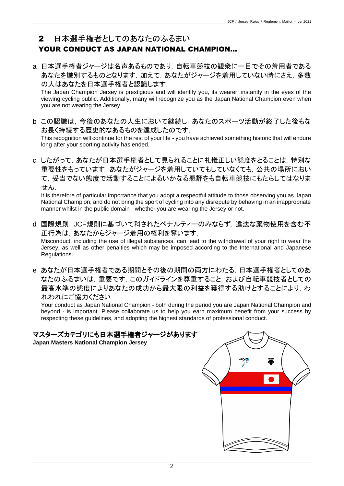### 2 日本選手権者としてのあなたのふるまい

## YOUR CONDUCT AS JAPAN NATIONAL CHAMPION...

a 日本選手権者ジャージは名声あるものであり,自転車競技の観衆に一目でその着用者である あなたを識別するものとなります. 加えて、あなたがジャージを着用していない時にさえ, 多数 の人はあなたを日本選手権者と認識します.

The Japan Champion Jersey is prestigious and will identify you, its wearer, instantly in the eyes of the viewing cycling public. Additionally, many will recognize you as the Japan National Champion even when you are not wearing the Jersey.

b この認識は,今後のあなたの人生において継続し,あなたのスポーツ活動が終了した後もな お長く持続する歴史的なあるものを達成したのです.

This recognition will continue for the rest of your life - you have achieved something historic that will endure long after your sporting activity has ended.

c したがって,あなたが日本選手権者として見られることに礼儀正しい態度をとることは,特別な 重要性をもっています。あなたがジャージを着用していてもしていなくても、公共の場所におい て,妥当でない態度で活動することによるいかなる悪評をも自転車競技にもたらしてはなりま せん.

It is therefore of particular importance that you adopt a respectful attitude to those observing you as Japan National Champion, and do not bring the sport of cycling into any disrepute by behaving in an inappropriate manner whilst in the public domain - whether you are wearing the Jersey or not.

- d 国際規則,JCF規則に基づいて科されたペナルティーのみならず,違法な薬物使用を含む不 正行為は,あなたからジャージ着用の権利を奪います. Misconduct, including the use of illegal substances, can lead to the withdrawal of your right to wear the Jersey, as well as other penalties which may be imposed according to the International and Japanese Regulations.
- e あなたが日本選手権者である期間とその後の期間の両方にわたる,日本選手権者としてのあ なたのふるまいは,重要です.このガイドラインを尊重すること,および自転車競技者としての 最高水準の態度によりあなたの成功から最大限の利益を獲得する助けとすることにより、わ れわれにご協力ください.

Your conduct as Japan National Champion - both during the period you are Japan National Champion and beyond - is important. Please collaborate us to help you earn maximum benefit from your success by respecting these guidelines, and adopting the highest standards of professional conduct.

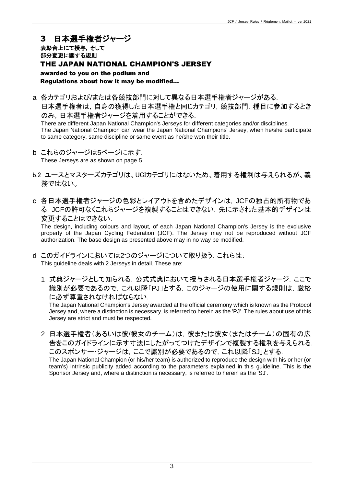#### 3 日本選手権者ジャージ 表彰台上にて授与,そして 部分変更に関する規則 THE JAPAN NATIONAL CHAMPION'S JERSEY awarded to you on the podium and Regulations about how it may be modified...

a 各カテゴリおよび/または各競技部門に対して異なる日本選手権者ジャージがある. 日本選手権者は、自身の獲得した日本選手権と同じカテゴリ、競技部門,種目に参加するとき のみ,日本選手権者ジャージを着用することができる.

There are different Japan National Champion's Jerseys for different categories and/or disciplines. The Japan National Champion can wear the Japan National Champions' Jersey, when he/she participate to same category, same discipline or same event as he/she won their title.

- b これらのジャージは5ページに示す. These Jerseys are as shown on page 5.
- b.2 ユースとマスターズカテゴリは、UCIカテゴリにはないため、着用する権利は与えられるが、義 務ではない。
- c 各日本選手権者ジャージの色彩とレイアウトを含めたデザインは,JCFの独占的所有物であ る. JCFの許可なくこれらジャージを複製することはできない. 先に示された基本的デザインは 変更することはできない.

The design, including colours and layout, of each Japan National Champion's Jersey is the exclusive property of the Japan Cycling Federation (JCF). The Jersey may not be reproduced without JCF authorization. The base design as presented above may in no way be modified.

- d このガイドラインにおいては2つのジャージについて取り扱う.これらは: This guideline deals with 2 Jerseys in detail. These are:
	- 1 式典ジャージとして知られる,公式式典において授与される日本選手権者ジャージ.ここで 識別が必要であるので,これ以降「PJ」とする.このジャージの使用に関する規則は,厳格 に必ず尊重されなければならない.

The Japan National Champion's Jersey awarded at the official ceremony which is known as the Protocol Jersey and, where a distinction is necessary, is referred to herein as the 'PJ'. The rules about use of this Jersey are strict and must be respected.

2 日本選手権者(あるいは彼/彼女のチーム)は、彼または彼女(またはチーム)の固有の広 告をこのガイドラインに示す寸法にしたがってつけたデザインで複製する権利を与えられる. このスポンサー・ジャージは,ここで識別が必要であるので,これ以降「SJ」とする. The Japan National Champion (or his/her team) is authorized to reproduce the design with his or her (or team's) intrinsic publicity added according to the parameters explained in this guideline. This is the Sponsor Jersey and, where a distinction is necessary, is referred to herein as the 'SJ'.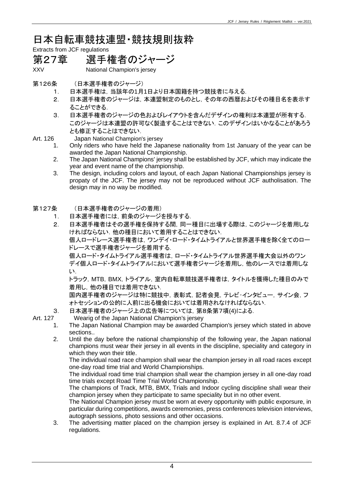日本自転車競技連盟・競技規則抜粋

Extracts from JCF regulations

## 第27章 選手権者のジャージ

XXV National Champion's jersey

- 第126条 (日本選手権者のジャージ)
	- 1. 日本選手権は,当該年の1月1日より日本国籍を持つ競技者に与える.
	- 2. 日本選手権者のジャージは,本連盟制定のものとし,その年の西暦およびその種目名を表示す ることができる.
	- 3. 日本選手権者のジャージの色およびレイアウトを含んだデザインの権利は本連盟が所有する. このジャージは本連盟の許可なく製造することはできない.このデザインはいかなることがあろう とも修正することはできない.

- Art. 126 Japan National Champion's jersey
	- 1. Only riders who have held the Japanese nationality from 1st January of the year can be awarded the Japan National Championship.
	- 2. The Japan National Champions' jersey shall be established by JCF, which may indicate the year and event name of the championship.
	- 3. The design, including colors and layout, of each Japan National Championships jersey is propaty of the JCF. The jersey may not be reproduced without JCF autholisation. The design may in no way be modified.
- 第127条 (日本選手権者のジャージの着用)
	- 1. 日本選手権者には,前条のジャージを授与する.
	- 2. 日本選手権者はその選手権を保持する間,同一種目に出場する際は,このジャージを着用しな ければならない.他の種目において着用することはできない.

個人ロードレース選手権者は,ワンデイ・ロード・タイムトライアルと世界選手権を除く全てのロー ドレースで選手権者ジャージを着用する.

個人ロード・タイムトライアル選手権者は,ロード・タイムトライアル世界選手権大会以外のワン デイ個人ロード・タイムトライアルにおいて選手権者ジャージを着用し,他のレースでは着用しな い.

トラック, MTB, BMX, トライアル, 室内自転車競技選手権者は, タイトルを獲得した種目のみで 着用し,他の種目では着用できない.

国内選手権者のジャージは特に競技中,表彰式,記者会見,テレビ・インタビュー,サイン会,フ ォトセッションの公的に人前に出る機会においては着用されなければならない.

3. 日本選手権者のジャージ上の広告等については,第8条第7項(4)による.

Art. 127 Wearig of the Japan National Champion's jersey

- 1. The Japan National Champion may be awarded Champion's jersey which stated in above sections..
- 2. Until the day before the national championship of the following year, the Japan national champions must wear their jersey in all events in the discipline, speciality and category in which they won their title.

The individual road race champion shall wear the champion jersey in all road races except one-day road time trial and World Championships.

The individual road time trial champion shall wear the champion jersey in all one-day road time trials except Road Time Trial World Championship.

The champions of Track, MTB, BMX, Trials and Indoor cycling discipline shall wear their champion jersey when they participate to same speciality but in no other event.

The National Champion jersey must be worn at every opportunity with public exporsure, in particular during competitions, awards ceremonies, press conferences television interviews, autograph sessions, photo sessions and other occasions.

3. The advertising matter placed on the champion jersey is explained in Art. 8.7.4 of JCF regulations.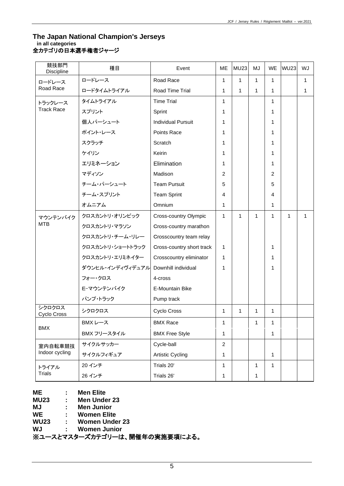#### **The Japan National Champion's Jerseys in all categories** ……。…。。。。。。。<br>全カテゴリの日本選手権者ジャージ

| 競技部門<br>Discipline           | 種目               | Event                     | ME             | <b>MU23</b>  | MJ           | WE           | <b>WU23</b> | WJ |
|------------------------------|------------------|---------------------------|----------------|--------------|--------------|--------------|-------------|----|
| ロードレース<br>Road Race          | ロードレース           | Road Race                 | $\mathbf{1}$   | 1            | $\mathbf{1}$ | $\mathbf{1}$ |             | 1  |
|                              | ロードタイムトライアル      | Road Time Trial           | $\mathbf{1}$   | $\mathbf{1}$ | $\mathbf{1}$ | 1            |             | 1  |
| トラックレース<br><b>Track Race</b> | タイムトライアル         | <b>Time Trial</b>         | $\mathbf{1}$   |              |              | 1            |             |    |
|                              | スプリント            | Sprint                    | 1              |              |              | 1            |             |    |
|                              | 個人パーシュート         | <b>Individual Pursuit</b> | $\mathbf{1}$   |              |              | 1            |             |    |
|                              | ポイント・レース         | Points Race               | 1              |              |              | 1            |             |    |
|                              | スクラッチ            | Scratch                   | 1              |              |              | 1            |             |    |
|                              | ケイリン             | Keirin                    | $\mathbf{1}$   |              |              | 1            |             |    |
|                              | エリミネーション         | Elimination               | 1              |              |              | 1            |             |    |
|                              | マディソン            | Madison                   | 2              |              |              | 2            |             |    |
|                              | チーム・パーシュート       | <b>Team Pursuit</b>       | 5              |              |              | 5            |             |    |
|                              | チーム・スプリント        | <b>Team Sprint</b>        | 4              |              |              | 4            |             |    |
|                              | オムニアム            | Omnium                    | $\mathbf{1}$   |              |              | 1            |             |    |
| マウンテンバイク<br><b>MTB</b>       | クロスカントリ・オリンピック   | Cross-country Olympic     | $\mathbf{1}$   | 1            | $\mathbf{1}$ | 1            | 1           | 1  |
|                              | クロスカントリ・マラソン     | Cross-country marathon    |                |              |              |              |             |    |
|                              | クロスカントリ・チーム・リレー  | Crosscountry team relay   |                |              |              |              |             |    |
|                              | クロスカントリ・ショートトラック | Cross-country short track | 1              |              |              | 1            |             |    |
|                              | クロスカントリ・エリミネイター  | Crosscountry eliminator   | 1              |              |              | 1            |             |    |
|                              | ダウンヒル・インディヴィデュアル | Downhill individual       | 1              |              |              | 1            |             |    |
|                              | フォー・クロス          | 4-cross                   |                |              |              |              |             |    |
|                              | E-マウンテンバイク       | E-Mountain Bike           |                |              |              |              |             |    |
|                              | パンプ・トラック         | Pump track                |                |              |              |              |             |    |
| シクロクロス<br>Cyclo Cross        | シクロクロス           | Cyclo Cross               | $\mathbf{1}$   | 1            | $\mathbf{1}$ | 1            |             |    |
| <b>BMX</b>                   | BMX レース          | BMX Race                  | 1              |              | 1            | 1            |             |    |
|                              | BMX フリースタイル      | <b>BMX Free Style</b>     | 1              |              |              | 1            |             |    |
| 室内自転車競技<br>Indoor cycling    | サイクルサッカー         | Cycle-ball                | $\overline{2}$ |              |              |              |             |    |
|                              | サイクルフィギュア        | <b>Artistic Cycling</b>   | 1              |              |              | 1            |             |    |
| トライアル<br><b>Trials</b>       | 20 インチ           | Trials 20'                | $\mathbf{1}$   |              | 1            | 1            |             |    |
|                              | 26 インチ           | Trials 26'                | 1              |              | 1            |              |             |    |

**ME : Men Elite**

**MU23 : Men Under 23**

**MJ : Men Junior**

**WE : Women Elite**

**WU23 : Women Under 23**

**WJ : Women Junior**

※ユースとマスターズカテゴリーは、開催年の実施要項による。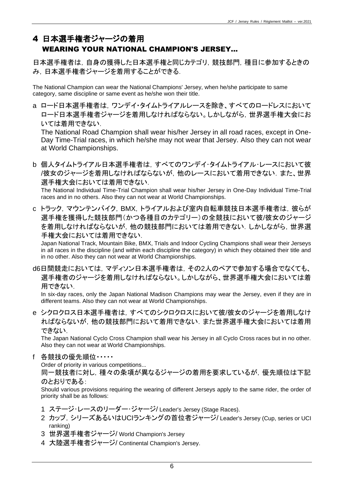## 4 日本選手権者ジャージの着用

## WEARING YOUR NATIONAL CHAMPION'S JERSEY...

日本選手権者は,自身の獲得した日本選手権と同じカテゴリ,競技部門,種目に参加するときの み,日本選手権者ジャージを着用することができる.

The National Champion can wear the National Champions' Jersey, when he/she participate to same category, same discipline or same event as he/she won their title.

a ロード日本選手権者は,ワンデイ・タイムトライアルレースを除き、すべてのロードレスにおいて ロード日本選手権者ジャージを着用しなければならない。しかしながら,世界選手権大会にお いては着用できない.

The National Road Champion shall wear his/her Jersey in all road races, except in One-Day Time-Trial races, in which he/she may not wear that Jersey. Also they can not wear at World Championships.

b 個人タイムトライアル日本選手権者は,すべてのワンデイ・タイムトライアル・レースにおいて彼 /彼女のジャージを着用しなければならないが,他のレースにおいて着用できない.また、世界 選手権大会においては着用できない.

The National Individual Time-Trial Champion shall wear his/her Jersey in One-Day Individual Time-Trial races and in no others. Also they can not wear at World Championships.

c トラック, マウンテンバイク, BMX, トライアルおよび室内自転車競技日本選手権者は, 彼らが 選手権を獲得した競技部門(かつ各種目のカテゴリー)の全競技において彼/彼女のジャージ を着用しなければならないが,他の競技部門においては着用できない.しかしながら,世界選 手権大会においては着用できない.

Japan National Track, Mountain Bike, BMX, Trials and Indoor Cycling Champions shall wear their Jerseys in all races in the discipline (and within each discipline the category) in which they obtained their title and in no other. Also they can not wear at World Championships.

d6日間競走においては,マディソン日本選手権者は,その2人のペアで参加する場合でなくても、 選手権者のジャージを着用しなければならない。しかしながら、世界選手権大会においては着 用できない.

In six-day races, only the Japan National Madison Champions may wear the Jersey, even if they are in different teams. Also they can not wear at World Championships.

e シクロクロス日本選手権者は,すべてのシクロクロスにおいて彼/彼女のジャージを着用しなけ ればならないが,他の競技部門において着用できない.また世界選手権大会においては着用 できない.

The Japan National Cyclo Cross Champion shall wear his Jersey in all Cyclo Cross races but in no other. Also they can not wear at World Championships.

f 各競技の優先順位・・・・・

Order of priority in various competitions...

同一競技者に対し,種々の条項が異なるジャージの着用を要求しているが,優先順位は下記 のとおりである:

Should various provisions requiring the wearing of different Jerseys apply to the same rider, the order of priority shall be as follows:

- 1 ステージ・レースのリーダー・ジャージ/ Leader's Jersey (Stage Races).
- 2 カップ, シリーズあるいはUCIランキングの首位者ジャージ/Leader's Jersey (Cup, series or UCI ranking)
- 3 世界選手権者ジャージ/ World Champion's Jersey
- 4 大陸選手権者ジャージ/ Continental Champion's Jersey.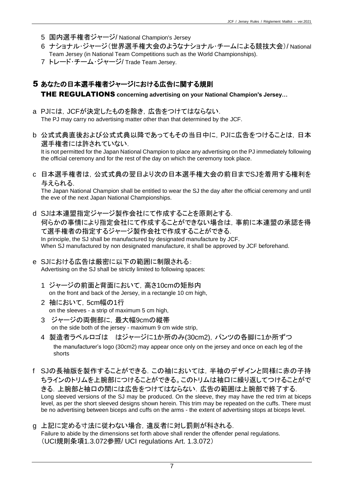- 5 国内選手権者ジャージ/ National Champion's Jersey
- 6 ナショナル・ジャージ(世界選手権大会のようなナショナル・チームによる競技大会)/ National Team Jersey (in National Team Competitions such as the World Championships).
- 7 トレード・チーム・ジャージ/ Trade Team Jersey.

## 5 あなたの日本選手権者ジャージにおける広告に関する規則 THE REGULATIONS **concerning advertising on your National Champion's Jersey…**

- a PJには,JCFが決定したものを除き,広告をつけてはならない. The PJ may carry no advertising matter other than that determined by the JCF.
- b 公式式典直後および公式式典以降であってもその当日中に,PJに広告をつけることは,日本 選手権者には許されていない.

It is not permitted for the Japan National Champion to place any advertising on the PJ immediately following the official ceremony and for the rest of the day on which the ceremony took place.

c 日本選手権者は,公式式典の翌日より次の日本選手権大会の前日までSJを着用する権利を 与えられる.

The Japan National Champion shall be entitled to wear the SJ the day after the official ceremony and until the eve of the next Japan National Championships.

d SJは本連盟指定ジャージ製作会社にて作成することを原則とする. 何らかの事情により指定会社にて作成することができない場合は,事前に本連盟の承認を得 て選手権者の指定するジャージ製作会社で作成することができる. In principle, the SJ shall be manufactured by designated manufacture by JCF. When SJ manufactured by non designated manufacture, it shall be approved by JCF beforehand.

- e SJにおける広告は厳密に以下の範囲に制限される: Advertising on the SJ shall be strictly limited to following spaces:
	- 1 ジャージの前面と背面において,高さ10cmの矩形内 on the front and back of the Jersey, in a rectangle 10 cm high,
	- 2 袖において,5cm幅の1行 on the sleeves - a strip of maximum 5 cm high,
	- 3 ジャージの両側部に,最大幅9cmの縦帯 on the side both of the jersey - maximum 9 cm wide strip,
	- 4 製造者ラベルロゴは はジャージに1か所のみ(30cm2), パンツの各脚に1か所ずつ the manufacturer's logo (30cm2) may appear once only on the jersey and once on each leg of the shorts
- f SJの長袖版を製作することができる.この袖においては,半袖のデザインと同様に赤の子持 ちラインのトリムを上腕部につけることができる。このトリムは袖口に繰り返してつけることがで きる.上腕部と袖口の間には広告をつけてはならない.広告の範囲は上腕部で終了する. Long sleeved versions of the SJ may be produced. On the sleeve, they may have the red trim at biceps level, as per the short sleeved designs shown herein. This trim may be repeated on the cuffs. There must be no advertising between biceps and cuffs on the arms - the extent of advertising stops at biceps level.
- g 上記に定める寸法に従わない場合,違反者に対し罰則が科される. Failure to abide by the dimensions set forth above shall render the offender penal regulations. (UCI規則条項1.3.072参照/ UCI regulations Art. 1.3.072)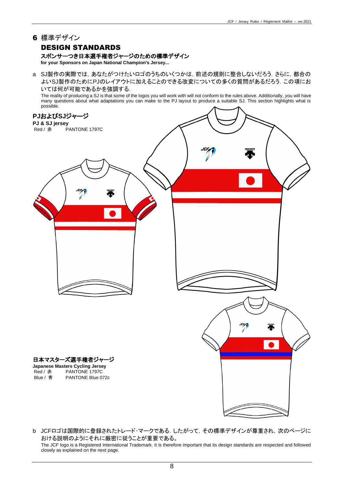#### 6 標準デザイン

#### DESIGN STANDARDS

#### スポンサーつき日本選手権者ジャージのための標準デザイン

**for your Sponsors on Japan National Champion's Jersey...**

a SJ製作の実際では,あなたがつけたいロゴのうちのいくつかは,前述の規則に整合しないだろう.さらに,都合の よいSJ製作のためにPJのレイアウトに加えることのできる改変についての多くの質問があるだろう.この項にお いては何が可能であるかを強調する.

The reality of producing a SJ is that some of the logos you will work with will not conform to the rules above. Additionally, you will have many questions about what adaptations you can make to the PJ layout to produce a suitable SJ. This section highlights what is possible.



b JCFロゴは国際的に登録されたトレード・マークである.したがって,その標準デザインが尊重され,次のページに おける説明のようにそれに厳密に従うことが重要である。 The JCF logo is a Registered International Trademark. It is therefore important that its design standards are respected and followed closely as explained on the next page.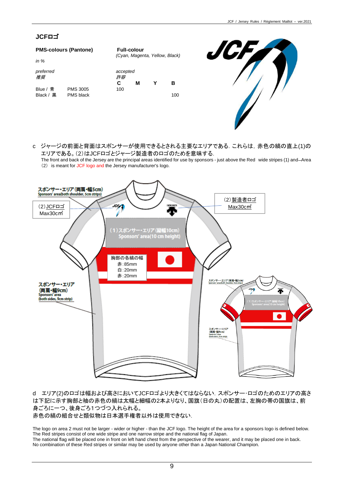#### **JCF**ロゴ

| <b>PMS-colours (Pantone)</b> | <b>Full-colour</b> |     |  |                                |  |  |  |  |
|------------------------------|--------------------|-----|--|--------------------------------|--|--|--|--|
|                              |                    |     |  |                                |  |  |  |  |
|                              | accepted<br>許容     |     |  |                                |  |  |  |  |
|                              | С                  | м   |  | в                              |  |  |  |  |
|                              | <b>PMS 3005</b>    | 100 |  | (Cyan, Magenta, Yellow, Black) |  |  |  |  |

Black / 黒 PMS black 100



c ジャージの前面と背面はスポンサーが使用できるとされる主要なエリアである.これらは,赤色の縞の直上(1)の エリアである。(2)はJCFロゴとジャージ製造者のロゴのためを意味する.

The front and back of the Jersey are the principal areas identified for use by sponsors - just above the Red wide stripes (1) and Area (2) is meant for JCF logo and the Jersey manufacturer's logo.



d エリア(2)のロゴは幅および高さにおいてJCFロゴより大きくてはならない.スポンサー・ロゴのためのエリアの高さ は下記に示す胸部と袖の赤色の縞は太幅と細幅の2本よりなり、国旗(日の丸)の配置は、左胸の帯の国旗は、前 身ごろに一つ、後身ごろ1つづつ入れられる。

赤色の縞の組合せと類似物は日本選手権者以外は使用できない.

The logo on area 2 must not be larger - wider or higher - than the JCF logo. The height of the area for a sponsors logo is defined below. The Red stripes consist of one wide stripe and one narrow stripe and the national flag of Japan. The national flag will be placed one in front on left hand chest from the perspective of the wearer, and it may be placed one in back. No combination of these Red stripes or similar may be used by anyone other than a Japan National Champion.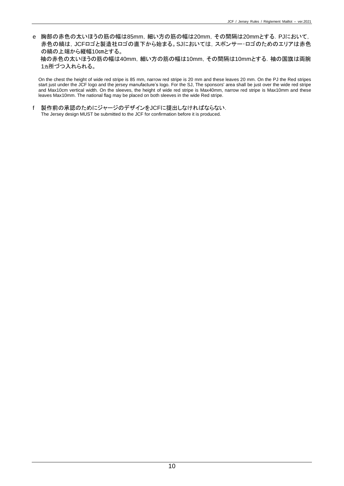e 胸部の赤色の太いほうの筋の幅は85mm, 細い方の筋の幅は20mm, その間隔は20mmとする. PJにおいて, 赤色の縞は,JCFロゴと製造社ロゴの直下から始まる。SJにおいては,スポンサー・ロゴのためのエリアは赤色 の縞の上端から縦幅10㎝とする。 袖の赤色の太いほうの筋の幅は40mm, 細い方の筋の幅は10mm, その間隔は10mmとする. 袖の国旗は両腕 1ヵ所づつ入れられる。

On the chest the height of wide red stripe is 85 mm, narrow red stripe is 20 mm and these leaves 20 mm. On the PJ the Red stripes start just under the JCF logo and the jersey manufacture's logo. For the SJ, The sponsors' area shall be just over the wide red stripe and Max10cm vertical width. On the sleeves, the height of wide red stripe is Max40mm, narrow red stripe is Max10mm and these leaves Max10mm. The national flag may be placed on both sleeves in the wide Red stripe.

f 製作前の承認のためにジャージのデザインをJCFに提出しなければならない. The Jersey design MUST be submitted to the JCF for confirmation before it is produced.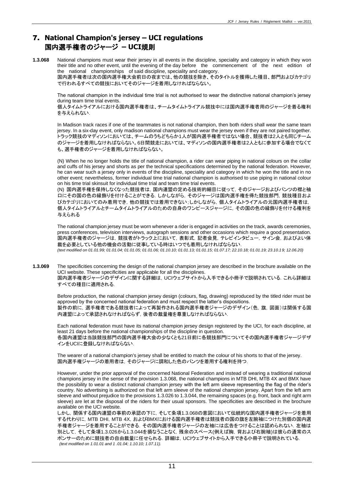#### 7. **National Champion's jersey – UCI regulations** 国内選手権者のジャージ **– UCI**規則

**1.3.068** National champions must wear their jersey in all events in the discipline, speciality and category in which they won their title and no other event, until the evening of the day before the commencement of the next edition of the national championships of said discipline, speciality and category. 国内選手権者は次の国内選手権大会前日の夜までは、他の競技を除き、そのタイトルを獲得した種目、部門およびカテゴリ

で行われるすべての競技においてそのジャージを着用しなければならない。

The national champion in the individual time trial is not authorised to wear the distinctive national champion's jersey during team time trial events.

個人タイムトライアルにおける国内選手権者は、チームタイムトライアル競技中には国内選手権者用のジャージを着る権利 を与えられない.

In Madison track races if one of the teammates is not national champion, then both riders shall wear the same team jersey. In a six-day event, only madison national champions must wear the jersey even if they are not paired together. トラック競技のマディソンにおいては、チームのうちどちらか1人が国内選手権者ではない場合、競技者は2人とも同じチーム のジャージを着用しなければならない。6日間競走においては、マディソンの国内選手権者は2人ともに参加する場合でなくて も、選手権者のジャージを着用しなければならない。

(N) When he no longer holds the title of national champion, a rider can wear piping in national colours on the collar and cuffs of his jersey and shorts as per the technical specifications determined by the national federation. However, he can wear such a jersey only in events of the discipline, speciality and category in which he won the title and in no other event; nevertheless, former individual time trial national champion is authorised to use piping in national colour on his time trial skinsuit for individual time trial and team time trial events.

(N) 国内選手権を保持しなくなった競技者は,国内連盟の定める技術的細目に従って,そのジャージおよびパンツの襟と袖 口にその国の色の縁飾りを付けることができる.しかしながら,そのジャージは国内選手権を得た競技部門,競技種目およ びカテゴリにおいてのみ着用でき,他の競技では着用できない;しかしながら,個人タイムトライアルの元国内選手権者は, 個人タイムトライアルとチームタイムトライアルのための自身のワンピースジャージに,その国の色の縁飾りを付ける権利を 与えられる

The national champion jersey must be worn whenever a rider is engaged in activities on the track, awards ceremonies, press conferences, television interviews, autograph sessions and other occasions which require a good presentation. 国内選手権者のジャージは,競技者がトラック上において,表彰式,記者会見,テレビインタビュー,サイン会,およびよい体 裁を必要としている他の機会の活動に従事している時はいつでも着用しなければならない.

*(text modified on 01.01.99; 01.01.04; 01.01.05; 01.01.06; 01.10.10; 01.01.13; 01.01.15; 01.07.17; 22.10.18; 01.01.19; 23.10.19; 12.06.20)*

**1.3.069** The specificities concerning the design of the national champion jersey are described in the brochure available on the UCI website. These specificities are applicable for all the disciplines. 国内選手権者ジャージのデザインに関する詳細は,UCIウェブサイトから入手できる小冊子で説明されている.これら詳細は すべての種目に適用される.

Before production, the national champion jersey design (colours, flag, drawing) reproduced by the titled rider must be approved by the concerned national federation and must respect the latter's dispositions. 製作の前に,選手権者である競技者によって再製作される国内選手権者ジャージのデザイン(色,旗,図面)は関係する国 内連盟によって承認されなければならず,後者の裁量権を尊重しなければならない.

Each national federation must have its national champion jersey design registered by the UCI, for each discipline, at least 21 days before the national championships of the discipline in question. 各国内連盟は当該競技部門の国内選手権大会の少なくとも21日前に各競技部門についてその国内選手権者ジャージデザ インをUCIに登録しなければならない.

The wearer of a national champion's jersey shall be entitled to match the colour of his shorts to that of the jersey. 国内選手権ジャージの着用者は,そのジャージに調和した色のパンツを着用する権利を持つ.

However, under the prior approval of the concerned National Federation and instead of wearing a traditional national champions jersey in the sense of the provision 1.3.068, the national champions in MTB DHI, MTB 4X and BMX have the possibility to wear a distinct national champion jersey with the left arm sleeve representing the flag of the rider's country. No advertising is authorized on that left arm sleeve of the national champion jersey. Apart from the left arm sleeve and without prejudice to the provisions 1.3.026 to 1.3.044, the remaining spaces (e.g. front, back and right arm sleeve) are let at the disposal of the riders for their usual sponsors. The specificities are described in the brochure available on the UCI website.

しかし,関係する国内連盟の事前の承認の下に,そして条項1.3.068の意図において伝統的な国内選手権者ジャージを着用 する代わりに, MTB DHI, MTB 4X, およびBMXにおける国内選手権者は競技者の国の旗を左腕袖につけた別個の国内選 手権者ジャージを着用することができる.その国内選手権者ジャージの左袖には広告をつけることは認められない.左袖は 別として,そして条項1.3.026から1.3.044を損なうことなく,残余のスペース(例えば胸,背および右腕袖)は彼らの通常のス ポンサーのために競技者の自由裁量に任せられる.詳細は,UCIウェブサイトから入手できる小冊子で説明されている. *(text modified on 1.01.01 and 1 .01.04; 1.10.10; 1.07.11).*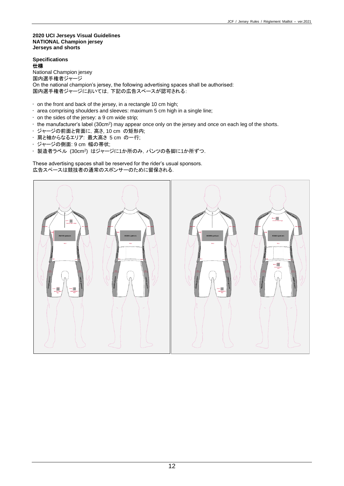#### **2020 UCI Jerseys Visual Guidelines NATIONAL Champion jersey Jerseys and shorts**

#### **Specifications** 仕様

National Champion jersey 国内選手権者ジャージ On the national champion's jersey, the following advertising spaces shall be authorised: 国内選手権者ジャージにおいては,下記の広告スペースが認可される:

- on the front and back of the jersey, in a rectangle 10 cm high;
- area comprising shoulders and sleeves: maximum 5 cm high in a single line;
- on the sides of the jersey: a 9 cm wide strip;
- $\cdot$  the manufacturer's label (30cm<sup>2</sup>) may appear once only on the jersey and once on each leg of the shorts.
- ジャージの前面と背面に,高さ, 10 cm の矩形内;
- 肩と袖からなるエリア: 最大高さ 5 cm の一行;
- ジャージの側面: 9 cm 幅の帯状;
- 製造者ラベル (30cm<sup>2</sup> ) はジャージに1か所のみ,パンツの各脚に1か所ずつ.

These advertising spaces shall be reserved for the rider's usual sponsors. 広告スペースは競技者の通常のスポンサーのために留保される.